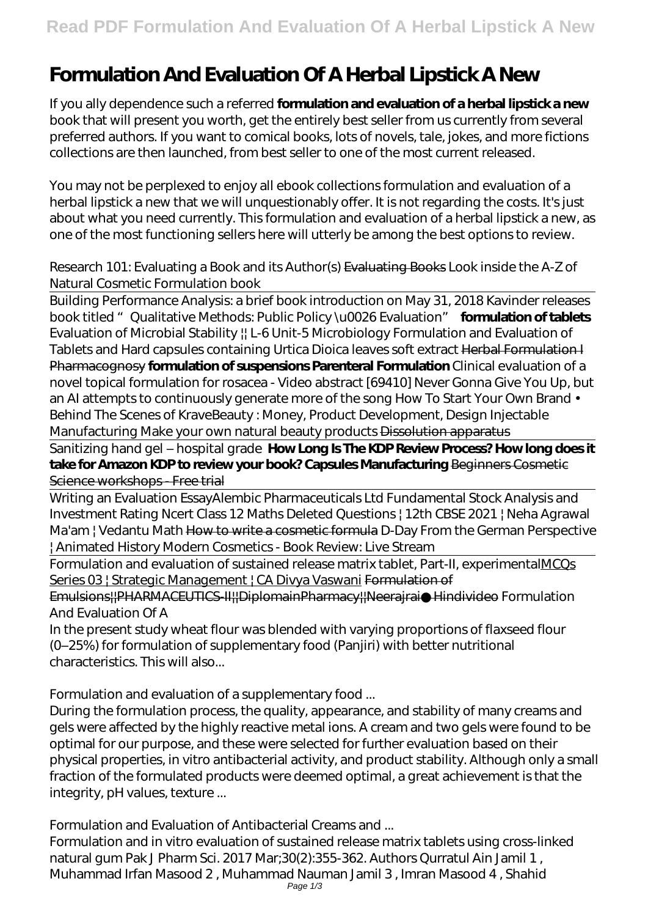# **Formulation And Evaluation Of A Herbal Lipstick A New**

If you ally dependence such a referred **formulation and evaluation of a herbal lipstick a new** book that will present you worth, get the entirely best seller from us currently from several preferred authors. If you want to comical books, lots of novels, tale, jokes, and more fictions collections are then launched, from best seller to one of the most current released.

You may not be perplexed to enjoy all ebook collections formulation and evaluation of a herbal lipstick a new that we will unquestionably offer. It is not regarding the costs. It's just about what you need currently. This formulation and evaluation of a herbal lipstick a new, as one of the most functioning sellers here will utterly be among the best options to review.

## *Research 101: Evaluating a Book and its Author(s)* Evaluating Books *Look inside the A-Z of Natural Cosmetic Formulation book*

Building Performance Analysis: a brief book introduction on May 31, 2018 Kavinder releases book titled "Qualitative Methods: Public Policy \u0026 Evaluation" **formulation of tablets** Evaluation of Microbial Stability || L-6 Unit-5 Microbiology *Formulation and Evaluation of Tablets and Hard capsules containing Urtica Dioica leaves soft extract* Herbal Formulation I Pharmacognosy **formulation of suspensions Parenteral Formulation** *Clinical evaluation of a novel topical formulation for rosacea - Video abstract [69410] Never Gonna Give You Up, but an AI attempts to continuously generate more of the song How To Start Your Own Brand • Behind The Scenes of KraveBeauty : Money, Product Development, Design Injectable Manufacturing Make your own natural beauty products* Dissolution apparatus

Sanitizing hand gel – hospital grade **How Long Is The KDP Review Process? How long does it take for Amazon KDP to review your book? Capsules Manufacturing** Beginners Cosmetic Science workshops - Free trial

Writing an Evaluation Essay*Alembic Pharmaceuticals Ltd Fundamental Stock Analysis and Investment Rating Ncert Class 12 Maths Deleted Questions | 12th CBSE 2021 | Neha Agrawal Ma'am | Vedantu Math* How to write a cosmetic formula *D-Day From the German Perspective | Animated History Modern Cosmetics - Book Review: Live Stream*

Formulation and evaluation of sustained release matrix tablet, Part-II, experimentalMCOs Series 03 | Strategic Management | CA Divya Vaswani Formulation of

Emulsions||PHARMACEUTICS-II||DiplomainPharmacy||Neerajrai●Hindivideo *Formulation And Evaluation Of A*

In the present study wheat flour was blended with varying proportions of flaxseed flour (0–25%) for formulation of supplementary food (Panjiri) with better nutritional characteristics. This will also...

# *Formulation and evaluation of a supplementary food ...*

During the formulation process, the quality, appearance, and stability of many creams and gels were affected by the highly reactive metal ions. A cream and two gels were found to be optimal for our purpose, and these were selected for further evaluation based on their physical properties, in vitro antibacterial activity, and product stability. Although only a small fraction of the formulated products were deemed optimal, a great achievement is that the integrity, pH values, texture ...

# *Formulation and Evaluation of Antibacterial Creams and ...*

Formulation and in vitro evaluation of sustained release matrix tablets using cross-linked natural gum Pak J Pharm Sci. 2017 Mar;30(2):355-362. Authors Qurratul Ain Jamil 1 , Muhammad Irfan Masood 2 , Muhammad Nauman Jamil 3 , Imran Masood 4 , Shahid Page 1/3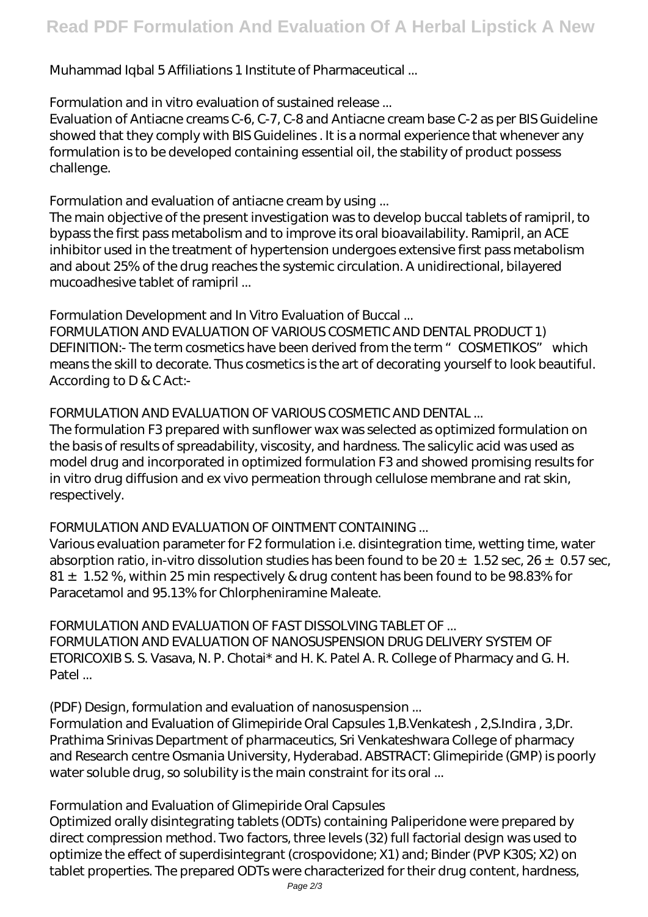Muhammad Iqbal 5 Affiliations 1 Institute of Pharmaceutical ...

#### *Formulation and in vitro evaluation of sustained release ...*

Evaluation of Antiacne creams C-6, C-7, C-8 and Antiacne cream base C-2 as per BIS Guideline showed that they comply with BIS Guidelines . It is a normal experience that whenever any formulation is to be developed containing essential oil, the stability of product possess challenge.

## *Formulation and evaluation of antiacne cream by using ...*

The main objective of the present investigation was to develop buccal tablets of ramipril, to bypass the first pass metabolism and to improve its oral bioavailability. Ramipril, an ACE inhibitor used in the treatment of hypertension undergoes extensive first pass metabolism and about 25% of the drug reaches the systemic circulation. A unidirectional, bilayered mucoadhesive tablet of ramipril ...

## *Formulation Development and In Vitro Evaluation of Buccal ...*

FORMULATION AND EVALUATION OF VARIOUS COSMETIC AND DENTAL PRODUCT 1) DEFINITION:- The term cosmetics have been derived from the term " COSMETIKOS" which means the skill to decorate. Thus cosmetics is the art of decorating yourself to look beautiful. According to D & C Act:-

# *FORMULATION AND EVALUATION OF VARIOUS COSMETIC AND DENTAL ...*

The formulation F3 prepared with sunflower wax was selected as optimized formulation on the basis of results of spreadability, viscosity, and hardness. The salicylic acid was used as model drug and incorporated in optimized formulation F3 and showed promising results for in vitro drug diffusion and ex vivo permeation through cellulose membrane and rat skin, respectively.

# *FORMULATION AND EVALUATION OF OINTMENT CONTAINING ...*

Various evaluation parameter for F2 formulation i.e. disintegration time, wetting time, water absorption ratio, in-vitro dissolution studies has been found to be  $20 \pm 1.52$  sec,  $26 \pm 0.57$  sec, 81  $\pm$  1.52%, within 25 min respectively & drug content has been found to be 98.83% for Paracetamol and 95.13% for Chlorpheniramine Maleate.

#### *FORMULATION AND EVALUATION OF FAST DISSOLVING TABLET OF ...*

FORMULATION AND EVALUATION OF NANOSUSPENSION DRUG DELIVERY SYSTEM OF ETORICOXIB S. S. Vasava, N. P. Chotai\* and H. K. Patel A. R. College of Pharmacy and G. H. Patel ...

#### *(PDF) Design, formulation and evaluation of nanosuspension ...*

Formulation and Evaluation of Glimepiride Oral Capsules 1,B.Venkatesh , 2,S.Indira , 3,Dr. Prathima Srinivas Department of pharmaceutics, Sri Venkateshwara College of pharmacy and Research centre Osmania University, Hyderabad. ABSTRACT: Glimepiride (GMP) is poorly water soluble drug, so solubility is the main constraint for its oral ...

#### *Formulation and Evaluation of Glimepiride Oral Capsules*

Optimized orally disintegrating tablets (ODTs) containing Paliperidone were prepared by direct compression method. Two factors, three levels (32) full factorial design was used to optimize the effect of superdisintegrant (crospovidone; X1) and; Binder (PVP K30S; X2) on tablet properties. The prepared ODTs were characterized for their drug content, hardness,